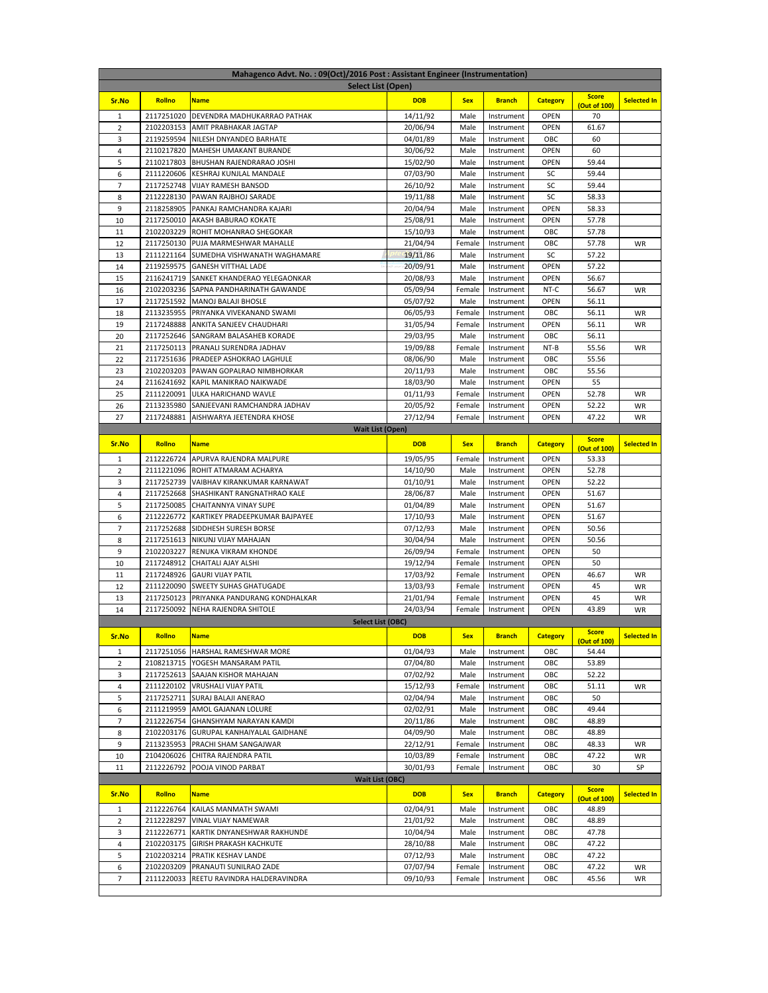| Mahagenco Advt. No.: 09(Oct)/2016 Post: Assistant Engineer (Instrumentation)<br><b>Select List (Open)</b> |                          |                                                       |                      |                  |                          |                 |                              |                    |  |  |
|-----------------------------------------------------------------------------------------------------------|--------------------------|-------------------------------------------------------|----------------------|------------------|--------------------------|-----------------|------------------------------|--------------------|--|--|
|                                                                                                           |                          |                                                       |                      |                  |                          |                 |                              |                    |  |  |
| Sr.No                                                                                                     | Rollno                   | <b>Name</b>                                           | <b>DOB</b>           | <b>Sex</b>       | <b>Branch</b>            | <b>Category</b> | <b>Score</b><br>(Out of 100) | <b>Selected In</b> |  |  |
| 1                                                                                                         | 2117251020               | DEVENDRA MADHUKARRAO PATHAK                           | 14/11/92             | Male             | Instrument               | <b>OPEN</b>     | 70                           |                    |  |  |
| $\overline{2}$                                                                                            | 2102203153               | AMIT PRABHAKAR JAGTAP                                 | 20/06/94             | Male             | Instrument               | <b>OPEN</b>     | 61.67                        |                    |  |  |
| 3                                                                                                         | 2119259594               | NILESH DNYANDEO BARHATE                               | 04/01/89             | Male             | Instrument               | OBC             | 60                           |                    |  |  |
| 4                                                                                                         | 2110217820               | MAHESH UMAKANT BURANDE                                | 30/06/92             | Male             | Instrument               | OPEN            | 60                           |                    |  |  |
| 5                                                                                                         | 2110217803               | BHUSHAN RAJENDRARAO JOSHI                             | 15/02/90             | Male             | Instrument               | OPEN            | 59.44                        |                    |  |  |
| 6                                                                                                         | 2111220606               | KESHRAJ KUNJLAL MANDALE                               | 07/03/90             | Male             | Instrument               | SC              | 59.44                        |                    |  |  |
| 7                                                                                                         | 2117252748               | VIJAY RAMESH BANSOD                                   | 26/10/92             | Male             | Instrument               | SC              | 59.44                        |                    |  |  |
| 8                                                                                                         | 2112228130               | PAWAN RAJBHOJ SARADE                                  | 19/11/88             | Male             | Instrument               | SC              | 58.33                        |                    |  |  |
| 9                                                                                                         | 2118258905               | PANKAJ RAMCHANDRA KAJARI                              | 20/04/94             | Male             | Instrument               | <b>OPEN</b>     | 58.33                        |                    |  |  |
| 10                                                                                                        | 2117250010               | AKASH BABURAO KOKATE                                  | 25/08/91             | Male             | Instrument               | <b>OPEN</b>     | 57.78                        |                    |  |  |
| 11                                                                                                        | 2102203229               | ROHIT MOHANRAO SHEGOKAR                               | 15/10/93             | Male             | Instrument               | OBC             | 57.78                        |                    |  |  |
| 12                                                                                                        | 2117250130               | PUJA MARMESHWAR MAHALLE                               | 21/04/94             | Female           | Instrument               | ОВС             | 57.78                        | WR                 |  |  |
| 13                                                                                                        | 2111221164               | SUMEDHA VISHWANATH WAGHAMARE                          | 19/11/86             | Male             | Instrument               | SC              | 57.22                        |                    |  |  |
| 14                                                                                                        | 2119259575               | <b>GANESH VITTHAL LADE</b>                            | 20/09/91             | Male             | Instrument               | OPEN            | 57.22                        |                    |  |  |
| 15                                                                                                        | 2116241719               | SANKET KHANDERAO YELEGAONKAR                          | 20/08/93             | Male             | Instrument               | OPEN            | 56.67                        |                    |  |  |
| 16                                                                                                        | 2102203236               | SAPNA PANDHARINATH GAWANDE                            | 05/09/94             | Female           | Instrument               | NT-C            | 56.67                        | WR                 |  |  |
| 17                                                                                                        | 2117251592               | MANOJ BALAJI BHOSLE                                   | 05/07/92             | Male             | Instrument               | OPEN            | 56.11<br>56.11               |                    |  |  |
| 18<br>19                                                                                                  | 2113235955<br>2117248888 | PRIYANKA VIVEKANAND SWAMI<br>ANKITA SANJEEV CHAUDHARI | 06/05/93             | Female<br>Female | Instrument<br>Instrument | OBC<br>OPEN     | 56.11                        | WR<br>WR           |  |  |
| 20                                                                                                        | 2117252646               | SANGRAM BALASAHEB KORADE                              | 31/05/94<br>29/03/95 | Male             | Instrument               | ОВС             | 56.11                        |                    |  |  |
| 21                                                                                                        | 2117250113               | PRANALI SURENDRA JADHAV                               | 19/09/88             | Female           | Instrument               | NT-B            | 55.56                        | WR                 |  |  |
| 22                                                                                                        | 2117251636               | PRADEEP ASHOKRAO LAGHULE                              | 08/06/90             | Male             | Instrument               | ОВС             | 55.56                        |                    |  |  |
| 23                                                                                                        | 2102203203               | PAWAN GOPALRAO NIMBHORKAR                             | 20/11/93             | Male             | Instrument               | ОВС             | 55.56                        |                    |  |  |
| 24                                                                                                        | 2116241692               | KAPIL MANIKRAO NAIKWADE                               | 18/03/90             | Male             | Instrument               | <b>OPEN</b>     | 55                           |                    |  |  |
| 25                                                                                                        | 2111220091               | ULKA HARICHAND WAVLE                                  | 01/11/93             | Female           | Instrument               | <b>OPEN</b>     | 52.78                        | WR                 |  |  |
| 26                                                                                                        | 2113235980               | SANJEEVANI RAMCHANDRA JADHAV                          | 20/05/92             | Female           | Instrument               | <b>OPEN</b>     | 52.22                        | WR                 |  |  |
| 27                                                                                                        | 2117248881               | AISHWARYA JEETENDRA KHOSE                             | 27/12/94             | Female           | Instrument               | <b>OPEN</b>     | 47.22                        | WR                 |  |  |
|                                                                                                           |                          | <b>Wait List (Open)</b>                               |                      |                  |                          |                 |                              |                    |  |  |
| Sr.No                                                                                                     | Rollno                   | <b>Name</b>                                           | <b>DOB</b>           | <b>Sex</b>       | <b>Branch</b>            | <b>Category</b> | <b>Score</b>                 | <b>Selected In</b> |  |  |
| 1                                                                                                         |                          | 2112226724 APURVA RAJENDRA MALPURE                    | 19/05/95             | Female           | Instrument               | OPEN            | <b>Out of 100)</b><br>53.33  |                    |  |  |
| 2                                                                                                         |                          | 2111221096 ROHIT ATMARAM ACHARYA                      | 14/10/90             | Male             | Instrument               | OPEN            | 52.78                        |                    |  |  |
| 3                                                                                                         | 2117252739               | VAIBHAV KIRANKUMAR KARNAWAT                           | 01/10/91             | Male             | Instrument               | OPEN            | 52.22                        |                    |  |  |
| $\overline{4}$                                                                                            | 2117252668               | SHASHIKANT RANGNATHRAO KALE                           | 28/06/87             | Male             | Instrument               | OPEN            | 51.67                        |                    |  |  |
| 5                                                                                                         | 2117250085               | CHAITANNYA VINAY SUPE                                 | 01/04/89             | Male             | Instrument               | OPEN            | 51.67                        |                    |  |  |
| 6                                                                                                         | 2112226772               | KARTIKEY PRADEEPKUMAR BAJPAYEE                        | 17/10/93             | Male             | Instrument               | <b>OPEN</b>     | 51.67                        |                    |  |  |
| 7                                                                                                         | 2117252688               | SIDDHESH SURESH BORSE                                 | 07/12/93             | Male             | Instrument               | <b>OPEN</b>     | 50.56                        |                    |  |  |
| 8                                                                                                         | 2117251613               | NIKUNJ VIJAY MAHAJAN                                  | 30/04/94             | Male             | Instrument               | <b>OPEN</b>     | 50.56                        |                    |  |  |
| 9                                                                                                         | 2102203227               | RENUKA VIKRAM KHONDE                                  | 26/09/94             | Female           | Instrument               | <b>OPEN</b>     | 50                           |                    |  |  |
| 10                                                                                                        | 2117248912               | CHAITALI AJAY ALSHI                                   | 19/12/94             | Female           | Instrument               | <b>OPEN</b>     | 50                           |                    |  |  |
| 11                                                                                                        | 2117248926               | <b>GAURI VIJAY PATIL</b>                              | 17/03/92             | Female           | Instrument               | <b>OPEN</b>     | 46.67                        | WR                 |  |  |
| 12                                                                                                        | 2111220090               | SWEETY SUHAS GHATUGADE                                | 13/03/93             | Female           | Instrument               | OPEN            | 45                           | WR                 |  |  |
| 13                                                                                                        | 2117250123               | PRIYANKA PANDURANG KONDHALKAR                         | 21/01/94             | Female           | Instrument               | OPEN            | 45                           | WR                 |  |  |
| 14                                                                                                        | 2117250092               | NEHA RAJENDRA SHITOLE                                 | 24/03/94             | Female           | Instrument               | <b>OPEN</b>     | 43.89                        | WR                 |  |  |
|                                                                                                           |                          | <b>Select List (OBC)</b>                              |                      |                  |                          |                 |                              |                    |  |  |
| Sr.No                                                                                                     | Rollno                   | <b>Name</b>                                           | <b>DOB</b>           | <b>Sex</b>       | <b>Branch</b>            | <b>Category</b> | <b>Score</b><br>(Out of 100) | Selected In        |  |  |
| $\mathbf{1}$                                                                                              | 2117251056               | HARSHAL RAMESHWAR MORE                                | 01/04/93             | Male             | Instrument               | OBC             | 54.44                        |                    |  |  |
| $\overline{2}$                                                                                            |                          | 2108213715 YOGESH MANSARAM PATIL                      | 07/04/80             | Male             | Instrument               | OBC             | 53.89                        |                    |  |  |
| 3                                                                                                         | 2117252613               | SAAJAN KISHOR MAHAJAN                                 | 07/02/92             | Male             | Instrument               | OBC             | 52.22                        |                    |  |  |
| 4                                                                                                         | 2111220102               | VRUSHALI VIJAY PATIL                                  | 15/12/93             | Female           | Instrument               | OBC             | 51.11                        | WR                 |  |  |
| 5                                                                                                         | 2117252711               | SURAJ BALAJI ANERAO                                   | 02/04/94             | Male             | Instrument               | OBC             | 50                           |                    |  |  |
| 6                                                                                                         | 2111219959               | AMOL GAJANAN LOLURE                                   | 02/02/91             | Male             | Instrument               | OBC             | 49.44                        |                    |  |  |
| $\overline{7}$                                                                                            | 2112226754               | GHANSHYAM NARAYAN KAMDI                               | 20/11/86             | Male             | Instrument               | OBC             | 48.89                        |                    |  |  |
| 8                                                                                                         | 2102203176               | GURUPAL KANHAIYALAL GAIDHANE                          | 04/09/90             | Male             | Instrument               | OBC             | 48.89                        |                    |  |  |
| 9                                                                                                         | 2113235953               | PRACHI SHAM SANGAJWAR                                 | 22/12/91             | Female           | Instrument               | OBC             | 48.33                        | WR                 |  |  |
| 10                                                                                                        | 2104206026               | CHITRA RAJENDRA PATIL                                 | 10/03/89             | Female           | Instrument               | OBC             | 47.22                        | WR                 |  |  |
| 11                                                                                                        | 2112226792               | POOJA VINOD PARBAT                                    | 30/01/93             | Female           | Instrument               | OBC             | 30                           | SP                 |  |  |
|                                                                                                           |                          | <b>Wait List (OBC)</b>                                |                      |                  |                          |                 |                              |                    |  |  |
| Sr.No                                                                                                     | Rollno                   | <b>Name</b>                                           | <b>DOB</b>           | <b>Sex</b>       | <b>Branch</b>            | <b>Category</b> | <b>Score</b><br>(Out of 100) | <b>Selected In</b> |  |  |
| $\mathbf{1}$                                                                                              | 2112226764               | KAILAS MANMATH SWAMI                                  | 02/04/91             | Male             | Instrument               | OBC             | 48.89                        |                    |  |  |
| $\overline{2}$                                                                                            | 2112228297               | VINAL VIJAY NAMEWAR                                   | 21/01/92             | Male             | Instrument               | OBC             | 48.89                        |                    |  |  |
| 3                                                                                                         | 2112226771               | KARTIK DNYANESHWAR RAKHUNDE                           | 10/04/94             | Male             | Instrument               | OBC             | 47.78                        |                    |  |  |
| 4                                                                                                         | 2102203175               | GIRISH PRAKASH KACHKUTE                               | 28/10/88             | Male             | Instrument               | OBC             | 47.22                        |                    |  |  |
| 5                                                                                                         | 2102203214               | PRATIK KESHAV LANDE                                   | 07/12/93             | Male             | Instrument               | OBC             | 47.22                        |                    |  |  |
| 6                                                                                                         | 2102203209               | PRANAUTI SUNILRAO ZADE                                | 07/07/94             | Female           | Instrument               | OBC             | 47.22                        | WR                 |  |  |
| $\overline{7}$                                                                                            | 2111220033               | REETU RAVINDRA HALDERAVINDRA                          | 09/10/93             | Female           | Instrument               | ОВС             | 45.56                        | WR                 |  |  |
|                                                                                                           |                          |                                                       |                      |                  |                          |                 |                              |                    |  |  |